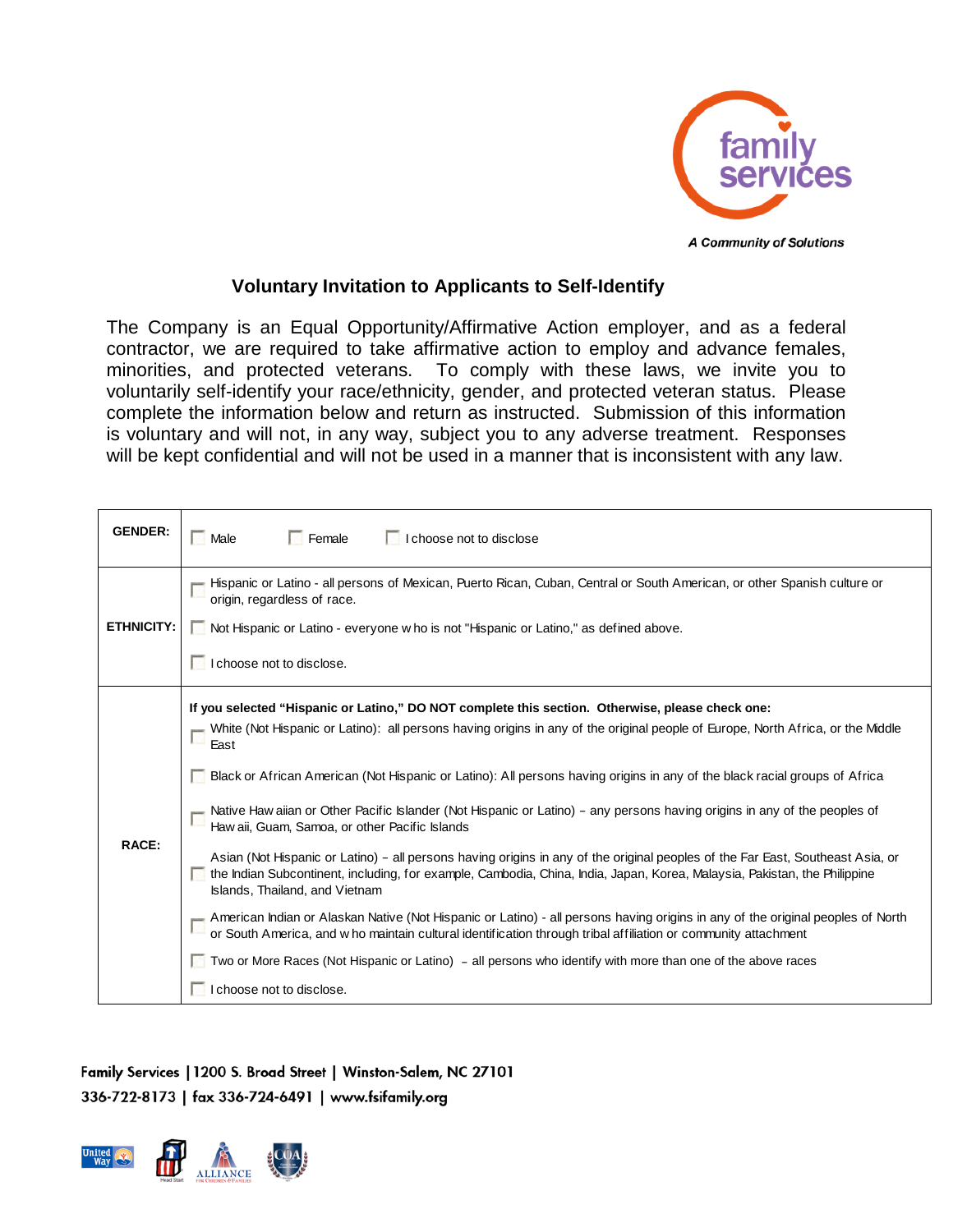

## **Voluntary Invitation to Applicants to Self-Identify**

The Company is an Equal Opportunity/Affirmative Action employer, and as a federal contractor, we are required to take affirmative action to employ and advance females, minorities, and protected veterans. To comply with these laws, we invite you to voluntarily self-identify your race/ethnicity, gender, and protected veteran status. Please complete the information below and return as instructed. Submission of this information is voluntary and will not, in any way, subject you to any adverse treatment. Responses will be kept confidential and will not be used in a manner that is inconsistent with any law.

| <b>GENDER:</b>    | Female<br>I choose not to disclose<br><b>Male</b>                                                                                                                                                                                                                                                                                                                                                                                                                                                                                                                                                                                                                                                                                                                                                                                                                                                                                                                                                                                                                                                                                                                                                                             |
|-------------------|-------------------------------------------------------------------------------------------------------------------------------------------------------------------------------------------------------------------------------------------------------------------------------------------------------------------------------------------------------------------------------------------------------------------------------------------------------------------------------------------------------------------------------------------------------------------------------------------------------------------------------------------------------------------------------------------------------------------------------------------------------------------------------------------------------------------------------------------------------------------------------------------------------------------------------------------------------------------------------------------------------------------------------------------------------------------------------------------------------------------------------------------------------------------------------------------------------------------------------|
| <b>ETHNICITY:</b> | Hispanic or Latino - all persons of Mexican, Puerto Rican, Cuban, Central or South American, or other Spanish culture or<br>origin, regardless of race.<br>Not Hispanic or Latino - everyone w ho is not "Hispanic or Latino," as defined above.<br>I choose not to disclose.                                                                                                                                                                                                                                                                                                                                                                                                                                                                                                                                                                                                                                                                                                                                                                                                                                                                                                                                                 |
| <b>RACE:</b>      | If you selected "Hispanic or Latino," DO NOT complete this section. Otherwise, please check one:<br>White (Not Hispanic or Latino): all persons having origins in any of the original people of Europe, North Africa, or the Middle<br>East<br>Black or African American (Not Hispanic or Latino): All persons having origins in any of the black racial groups of Africa<br>Native Haw aiian or Other Pacific Islander (Not Hispanic or Latino) – any persons having origins in any of the peoples of<br>Haw aii, Guam, Samoa, or other Pacific Islands<br>Asian (Not Hispanic or Latino) – all persons having origins in any of the original peoples of the Far East, Southeast Asia, or<br>the Indian Subcontinent, including, for example, Cambodia, China, India, Japan, Korea, Malaysia, Pakistan, the Philippine<br>Islands, Thailand, and Vietnam<br>American Indian or Alaskan Native (Not Hispanic or Latino) - all persons having origins in any of the original peoples of North<br>or South America, and w ho maintain cultural identification through tribal affiliation or community attachment<br>Two or More Races (Not Hispanic or Latino) - all persons who identify with more than one of the above races |
|                   | I choose not to disclose.                                                                                                                                                                                                                                                                                                                                                                                                                                                                                                                                                                                                                                                                                                                                                                                                                                                                                                                                                                                                                                                                                                                                                                                                     |

Family Services | 1200 S. Broad Street | Winston-Salem, NC 27101 336-722-8173 | fax 336-724-6491 | www.fsifamily.org

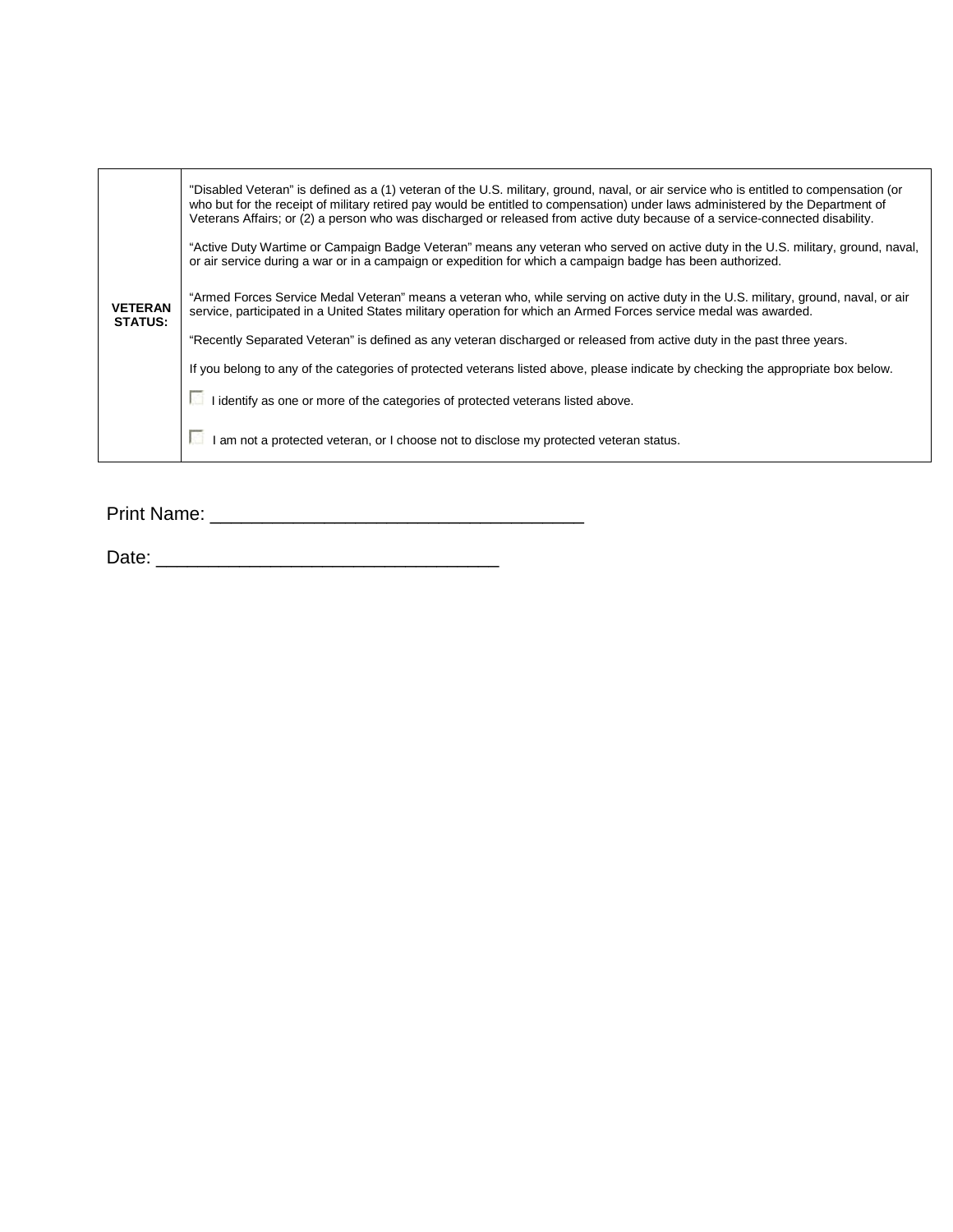| <b>VETERAN</b><br><b>STATUS:</b> | "Disabled Veteran" is defined as a (1) veteran of the U.S. military, ground, naval, or air service who is entitled to compensation (or<br>who but for the receipt of military retired pay would be entitled to compensation) under laws administered by the Department of<br>Veterans Affairs; or (2) a person who was discharged or released from active duty because of a service-connected disability. |
|----------------------------------|-----------------------------------------------------------------------------------------------------------------------------------------------------------------------------------------------------------------------------------------------------------------------------------------------------------------------------------------------------------------------------------------------------------|
|                                  | "Active Duty Wartime or Campaign Badge Veteran" means any veteran who served on active duty in the U.S. military, ground, naval,<br>or air service during a war or in a campaign or expedition for which a campaign badge has been authorized.                                                                                                                                                            |
|                                  | "Armed Forces Service Medal Veteran" means a veteran who, while serving on active duty in the U.S. military, ground, naval, or air<br>service, participated in a United States military operation for which an Armed Forces service medal was awarded.                                                                                                                                                    |
|                                  | "Recently Separated Veteran" is defined as any veteran discharged or released from active duty in the past three years.                                                                                                                                                                                                                                                                                   |
|                                  | If you belong to any of the categories of protected veterans listed above, please indicate by checking the appropriate box below.                                                                                                                                                                                                                                                                         |
|                                  | identify as one or more of the categories of protected veterans listed above.                                                                                                                                                                                                                                                                                                                             |
|                                  | am not a protected veteran, or I choose not to disclose my protected veteran status.                                                                                                                                                                                                                                                                                                                      |

Print Name: \_\_\_\_\_\_\_\_\_\_\_\_\_\_\_\_\_\_\_\_\_\_\_\_\_\_\_\_\_\_\_\_\_\_\_\_

Date: \_\_\_\_\_\_\_\_\_\_\_\_\_\_\_\_\_\_\_\_\_\_\_\_\_\_\_\_\_\_\_\_\_